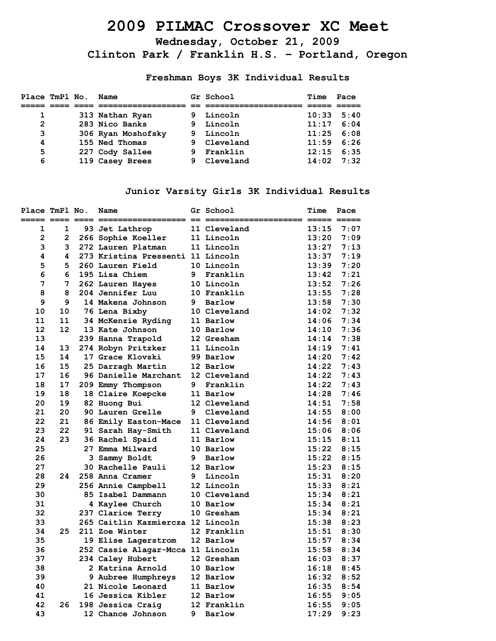# **2009 PILMAC Crossover XC Meet**

**Wednesday, October 21, 2009 Clinton Park / Franklin H.S. – Portland, Oregon**

**Freshman Boys 3K Individual Results** 

| Place TmPl No. |  | Name               |    | Gr School   | Time  | Pace |
|----------------|--|--------------------|----|-------------|-------|------|
|                |  |                    |    |             |       |      |
| 1              |  | 313 Nathan Ryan    |    | 9 Lincoln   | 10:33 | 5:40 |
| $\overline{2}$ |  | 283 Nico Banks     | 9. | Lincoln     | 11:17 | 6:04 |
| 3              |  | 306 Ryan Moshofsky | 9. | Lincoln     | 11:25 | 6:08 |
| 4              |  | 155 Ned Thomas     |    | 9 Cleveland | 11:59 | 6:26 |
| 5              |  | 227 Cody Sallee    | 9. | Franklin    | 12:15 | 6:35 |
| 6              |  | 119 Casey Brees    |    | 9 Cleveland | 14:02 | 7:32 |

#### **Junior Varsity Girls 3K Individual Results**

| Place TmPl No. |                | Name                              |   | Gr School    | Time  | Pace |
|----------------|----------------|-----------------------------------|---|--------------|-------|------|
| 1              | 1              | 93 Jet Lathrop                    |   | 11 Cleveland | 13:15 | 7:07 |
| $\overline{2}$ | $\overline{2}$ | 266 Sophie Koeller                |   | 11 Lincoln   | 13:20 | 7:09 |
| 3              | 3              | 272 Lauren Platman                |   | 11 Lincoln   | 13:27 | 7:13 |
| 4              | 4              | 273 Kristina Pressenti 11 Lincoln |   |              | 13:37 | 7:19 |
| 5.             | 5              | 260 Lauren Field                  |   | 10 Lincoln   | 13:39 | 7:20 |
| 6              | 6              | 195 Lisa Chiem                    | 9 | Franklin     | 13:42 | 7:21 |
| 7              | 7              | 262 Lauren Hayes                  |   | 10 Lincoln   | 13:52 | 7:26 |
| 8              | 8              | 204 Jennifer Luu                  |   | 10 Franklin  | 13:55 | 7:28 |
| 9              | 9              | 14 Makena Johnson                 |   | 9 Barlow     | 13:58 | 7:30 |
| 10             | 10             | 76 Lena Bixby                     |   | 10 Cleveland | 14:02 | 7:32 |
| 11             | 11             | 34 McKenzie Ryding                |   | 11 Barlow    | 14:06 | 7:34 |
| 12             | 12             | 13 Kate Johnson                   |   | 10 Barlow    | 14:10 | 7:36 |
| 13             |                | 239 Hanna Trapold                 |   | 12 Gresham   | 14:14 | 7:38 |
| 14             | 13             | 274 Robyn Pritzker                |   | 11 Lincoln   | 14:19 | 7:41 |
| 15             | 14             | 17 Grace Klovski                  |   | 99 Barlow    | 14:20 | 7:42 |
| 16             | 15             | 25 Darragh Martin                 |   | 12 Barlow    | 14:22 | 7:43 |
| 17             | 16             | 96 Danielle Marchant              |   | 12 Cleveland | 14:22 | 7:43 |
| 18             | 17             | 209 Emmy Thompson                 | 9 | Franklin     | 14:22 | 7:43 |
| 19             | 18             | 18 Claire Koepcke                 |   | 11 Barlow    | 14:28 | 7:46 |
| 20             | 19             | 82 Huong Bui                      |   | 12 Cleveland | 14:51 | 7:58 |
| 21             | 20             | 90 Lauren Grelle                  | 9 | Cleveland    | 14:55 | 8:00 |
| 22             | 21             | 86 Emily Easton-Mace              |   | 11 Cleveland | 14:56 | 8:01 |
| 23             | 22             | 91 Sarah Hay-Smith                |   | 11 Cleveland | 15:06 | 8:06 |
| 24             | 23             | 36 Rachel Spaid                   |   | 11 Barlow    | 15:15 | 8:11 |
| 25             |                | 27 Emma Milward                   |   | 10 Barlow    | 15:22 | 8:15 |
| 26             |                | 3 Sammy Boldt                     |   | 9 Barlow     | 15:22 | 8:15 |
| 27             |                | 30 Rachelle Pauli                 |   | 12 Barlow    | 15:23 | 8:15 |
| 28             | 24             | 258 Anna Cramer                   |   | 9 Lincoln    | 15:31 | 8:20 |
| 29             |                | 256 Annie Campbell                |   | 12 Lincoln   | 15:33 | 8:21 |
| 30             |                | 85 Isabel Dammann                 |   | 10 Cleveland | 15:34 | 8:21 |
| 31             |                | 4 Kaylee Church                   |   | 10 Barlow    | 15:34 | 8:21 |
| 32             |                | 237 Clarice Terry                 |   | 10 Gresham   | 15:34 | 8:21 |
| 33             |                | 265 Caitlin Kazmiercza 12 Lincoln |   |              | 15:38 | 8:23 |
| 34             | 25             | 211 Zoe Winter                    |   | 12 Franklin  | 15:51 | 8:30 |
| 35             |                | 19 Elise Lagerstrom               |   | 12 Barlow    | 15:57 | 8:34 |
| 36             |                | 252 Cassie Alagar-Mcca 11 Lincoln |   |              | 15:58 | 8:34 |
| 37             |                | 234 Caley Hubert                  |   | 12 Gresham   | 16:03 | 8:37 |
| 38             |                | 2 Katrina Arnold                  |   | 10 Barlow    | 16:18 | 8:45 |
| 39             |                | 9 Aubree Humphreys                |   | 12 Barlow    | 16:32 | 8:52 |
| 40             |                | 21 Nicole Leonard                 |   | 11 Barlow    | 16:35 | 8:54 |
| 41             |                | 16 Jessica Kibler                 |   | 12 Barlow    | 16:55 | 9:05 |
| 42             | 26             | 198 Jessica Craig                 |   | 12 Franklin  | 16:55 | 9:05 |
| 43             |                | 12 Chance Johnson                 | 9 | Barlow       | 17:29 | 9:23 |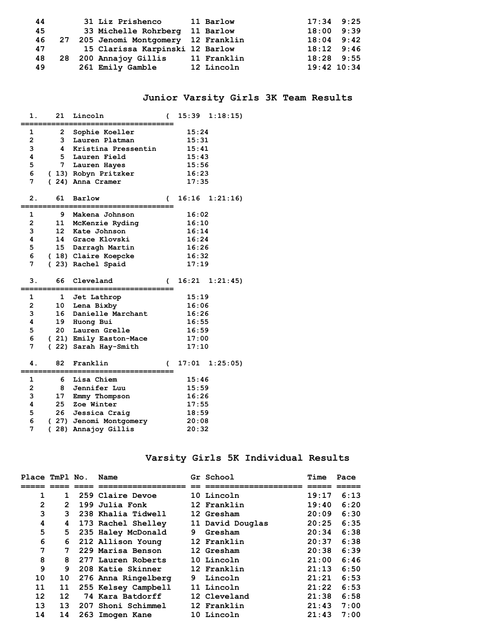| 44 |  | 31 Liz Prishenco                     | 11 Barlow   | $17:34$ 9:25    |  |
|----|--|--------------------------------------|-------------|-----------------|--|
| 45 |  | 33 Michelle Rohrberg 11 Barlow       |             | $18:00$ 9:39    |  |
| 46 |  | 27 205 Jenomi Montgomery 12 Franklin |             | $18:04$ 9:42    |  |
| 47 |  | 15 Clarissa Karpinski 12 Barlow      |             | $18:12$ $9:46$  |  |
| 48 |  | 28 200 Annajoy Gillis                | 11 Franklin | $18:28$ 9:55    |  |
| 49 |  | 261 Emily Gamble                     | 12 Lincoln  | $19:42$ $10:34$ |  |

#### **Junior Varsity Girls 3K Team Results**

| 1.                      | 21               | Lincoln                | (              | 15:39 | 1:18:15 |
|-------------------------|------------------|------------------------|----------------|-------|---------|
| 1                       | $\mathbf{2}$     | Sophie Koeller         |                | 15:24 |         |
| $\overline{2}$          | 3                | Lauren Platman         |                | 15:31 |         |
| 3                       | 4                | Kristina Pressentin    |                | 15:41 |         |
| 4                       | 5.               | Lauren Field           |                | 15:43 |         |
| 5                       | 7 <sup>7</sup>   | Lauren Hayes           |                | 15:56 |         |
| 6                       |                  | (13) Robyn Pritzker    |                | 16:23 |         |
| 7                       |                  | (24) Anna Cramer       |                | 17:35 |         |
| $\overline{2}$ .        | 61               | Barlow                 | $\overline{ }$ | 16:16 | 1:21:16 |
| $\mathbf 1$             | 9                | Makena Johnson         |                | 16:02 |         |
| $\overline{\mathbf{c}}$ | 11               | McKenzie Ryding        |                | 16:10 |         |
| 3                       | 12 <sup>12</sup> | Kate Johnson           |                | 16:14 |         |
| 4                       |                  | 14 Grace Klovski       |                | 16:24 |         |
| 5                       | 15               | Darragh Martin         |                | 16:26 |         |
| 6                       |                  | (18) Claire Koepcke    |                | 16:32 |         |
| 7                       |                  | (23) Rachel Spaid      |                | 17:19 |         |
|                         |                  |                        |                |       |         |
| 3.                      | 66               | Cleveland              | C              | 16:21 | 1:21:45 |
| 1                       | $\mathbf{1}$     | Jet Lathrop            |                | 15:19 |         |
| $\overline{2}$          | 10               | Lena Bixby             |                | 16:06 |         |
| 3                       | 16               | Danielle Marchant      |                | 16:26 |         |
| 4                       | 19               | Huong Bui              |                | 16:55 |         |
| 5                       | 20               | Lauren Grelle          |                | 16:59 |         |
| 6                       |                  | (21) Emily Easton-Mace |                | 17:00 |         |
| 7                       |                  | (22) Sarah Hay-Smith   |                | 17:10 |         |
| 4.                      | 82               | Franklin               | (              | 17:01 | 1:25:05 |
| 1                       | 6                | Lisa Chiem             |                | 15:46 |         |
| $\overline{2}$          | 8                | Jennifer Luu           |                | 15:59 |         |
| 3                       | 17               | Emmy Thompson          |                | 16:26 |         |
| 4                       | 25               | Zoe Winter             |                | 17:55 |         |
| 5                       | 26               | Jessica Craig          |                | 18:59 |         |
| 6                       |                  | (27) Jenomi Montgomery |                | 20:08 |         |

#### **Varsity Girls 5K Individual Results**

| Place TmPl No. |                | Name                |   | Gr School        | Time  | Pace |
|----------------|----------------|---------------------|---|------------------|-------|------|
|                |                |                     |   |                  |       |      |
| 1              | 1              | 259 Claire Devoe    |   | 10 Lincoln       | 19:17 | 6:13 |
| $\overline{2}$ | $\overline{2}$ | 199 Julia Fonk      |   | 12 Franklin      | 19:40 | 6:20 |
| 3              | 3              | 238 Khalia Tidwell  |   | 12 Gresham       | 20:09 | 6:30 |
| 4              | 4              | 173 Rachel Shelley  |   | 11 David Douglas | 20:25 | 6:35 |
| 5              | 5.             | 235 Haley McDonald  | 9 | Gresham          | 20:34 | 6:38 |
| 6              | 6              | 212 Allison Young   |   | 12 Franklin      | 20:37 | 6:38 |
| 7              | 7              | 229 Marisa Benson   |   | 12 Gresham       | 20:38 | 6:39 |
| 8              | 8              | 277 Lauren Roberts  |   | 10 Lincoln       | 21:00 | 6:46 |
| 9              | 9              | 208 Katie Skinner   |   | 12 Franklin      | 21:13 | 6:50 |
| 10             | 10             | 276 Anna Ringelberg | 9 | Lincoln          | 21:21 | 6:53 |
| 11             | 11             | 255 Kelsey Campbell |   | 11 Lincoln       | 21:22 | 6:53 |
| 12             | 12             | 74 Kara Batdorff    |   | 12 Cleveland     | 21:38 | 6:58 |
| 13             | 13             | 207 Shoni Schimmel  |   | 12 Franklin      | 21:43 | 7:00 |
| 14             | 14             | 263 Imogen Kane     |   | 10 Lincoln       | 21:43 | 7:00 |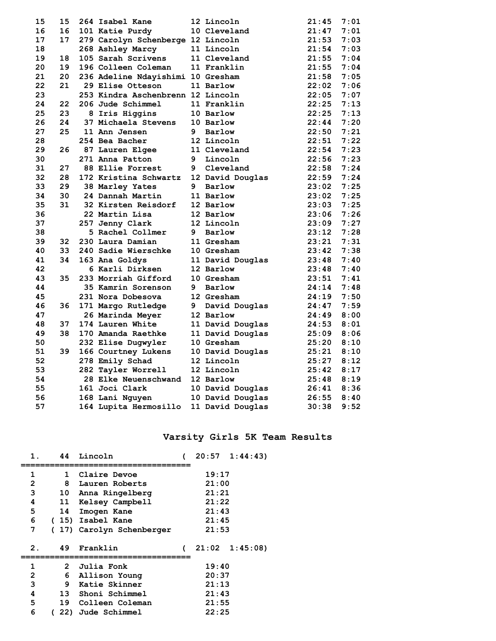| 15 | 15 | 264 Isabel Kane                   |   | 12 Lincoln       | 21:45 | 7:01 |
|----|----|-----------------------------------|---|------------------|-------|------|
| 16 | 16 | 101 Katie Purdy                   |   | 10 Cleveland     | 21:47 | 7:01 |
| 17 | 17 | 279 Carolyn Schenberge 12 Lincoln |   |                  | 21:53 | 7:03 |
| 18 |    | 268 Ashley Marcy                  |   | 11 Lincoln       | 21:54 | 7:03 |
| 19 | 18 | 105 Sarah Scrivens                |   | 11 Cleveland     | 21:55 | 7:04 |
| 20 | 19 | 196 Colleen Coleman               |   | 11 Franklin      | 21:55 | 7:04 |
| 21 | 20 | 236 Adeline Ndayishimi 10 Gresham |   |                  | 21:58 | 7:05 |
| 22 | 21 | 29 Elise Otteson                  |   | 11 Barlow        | 22:02 | 7:06 |
| 23 |    | 253 Kindra Aschenbrenn 12 Lincoln |   |                  | 22:05 | 7:07 |
| 24 | 22 | 206 Jude Schimmel                 |   | 11 Franklin      | 22:25 | 7:13 |
| 25 | 23 | 8 Iris Higgins                    |   | 10 Barlow        | 22:25 | 7:13 |
| 26 | 24 | 37 Michaela Stevens               |   | 10 Barlow        | 22:44 | 7:20 |
| 27 | 25 | 11 Ann Jensen                     |   | 9 Barlow         | 22:50 | 7:21 |
| 28 |    | 254 Bea Bacher                    |   | 12 Lincoln       | 22:51 | 7:22 |
| 29 | 26 | 87 Lauren Elgee                   |   | 11 Cleveland     | 22:54 | 7:23 |
| 30 |    | 271 Anna Patton                   |   | 9 Lincoln        | 22:56 | 7:23 |
| 31 | 27 | <b>88 Ellie Forrest</b>           | 9 | Cleveland        | 22:58 | 7:24 |
| 32 | 28 | 172 Kristina Schwartz             |   | 12 David Douglas | 22:59 | 7:24 |
| 33 | 29 | 38 Marley Yates                   | 9 | Barlow           | 23:02 | 7:25 |
| 34 | 30 | 24 Dannah Martin                  |   | 11 Barlow        | 23:02 | 7:25 |
| 35 | 31 | 32 Kirsten Reisdorf               |   | 12 Barlow        | 23:03 | 7:25 |
| 36 |    | 22 Martin Lisa                    |   | 12 Barlow        | 23:06 | 7:26 |
| 37 |    | 257 Jenny Clark                   |   | 12 Lincoln       | 23:09 | 7:27 |
| 38 |    | 5 Rachel Collmer                  | 9 | Barlow           | 23:12 | 7:28 |
| 39 | 32 | 230 Laura Damian                  |   | 11 Gresham       | 23:21 | 7:31 |
| 40 | 33 | 240 Sadie Wierschke               |   | 10 Gresham       | 23:42 | 7:38 |
| 41 | 34 | 163 Ana Goldys                    |   | 11 David Douglas | 23:48 | 7:40 |
| 42 |    | 6 Karli Dirksen                   |   | 12 Barlow        | 23:48 | 7:40 |
| 43 | 35 | 233 Morriah Gifford               |   | 10 Gresham       | 23:51 | 7:41 |
| 44 |    | 35 Kamrin Sorenson                | 9 | Barlow           | 24:14 | 7:48 |
| 45 |    | 231 Nora Dobesova                 |   | 12 Gresham       | 24:19 | 7:50 |
| 46 | 36 | 171 Margo Rutledge                | 9 | David Douglas    | 24:47 | 7:59 |
| 47 |    | 26 Marinda Meyer                  |   | 12 Barlow        | 24:49 | 8:00 |
| 48 | 37 | 174 Lauren White                  |   | 11 David Douglas | 24:53 | 8:01 |
| 49 | 38 | 170 Amanda Raethke                |   | 11 David Douglas | 25:09 | 8:06 |
| 50 |    | 232 Elise Dugwyler                |   | 10 Gresham       | 25:20 | 8:10 |
| 51 | 39 | 166 Courtney Lukens               |   | 10 David Douglas | 25:21 | 8:10 |
| 52 |    | 278 Emily Schad                   |   | 12 Lincoln       | 25:27 | 8:12 |
| 53 |    | 282 Tayler Worrell                |   | 12 Lincoln       | 25:42 | 8:17 |
| 54 |    | <b>28 Elke Neuenschwand</b>       |   | 12 Barlow        | 25:48 | 8:19 |
| 55 |    | 161 Joci Clark                    |   | 10 David Douglas | 26:41 | 8:36 |
| 56 |    | 168 Lani Nguyen                   |   | 10 David Douglas | 26:55 | 8:40 |
| 57 |    | 164 Lupita Hermosillo             |   | 11 David Douglas | 30:38 | 9:52 |

### **Varsity Girls 5K Team Results**

| 1. | 44           | Lincoln                 |       | $20:57 \quad 1:44:43$ |
|----|--------------|-------------------------|-------|-----------------------|
| 1  | 1            | Claire Devoe            | 19:17 |                       |
| 2  | 8            | Lauren Roberts          | 21:00 |                       |
| 3  |              | 10 Anna Ringelberg      | 21:21 |                       |
| 4  |              | 11 Kelsey Campbell      | 21:22 |                       |
| 5  | 14           | Imogen Kane             | 21:43 |                       |
| 6  |              | (15) Isabel Kane        | 21:45 |                       |
| 7  |              | 17) Carolyn Schenberger | 21:53 |                       |
| 2. | 49           | Franklin                |       | $21:02 \quad 1:45:08$ |
| 1  | $\mathbf{2}$ | Julia Fonk              | 19:40 |                       |
| 2  | 6            | Allison Young           | 20:37 |                       |
| 3  | 9            | Katie Skinner           | 21:13 |                       |
| 4  |              | 13 Shoni Schimmel       | 21:43 |                       |
| 5  | 19           | Colleen Coleman         | 21:55 |                       |
| 6  | 22)          | Jude Schimmel           | 22:25 |                       |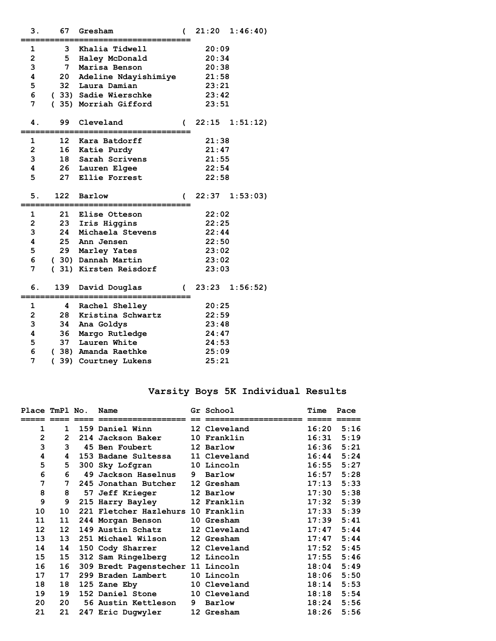| з.                      | 67       | Gresham               | (          | 21:20 | 1:46:40)          |
|-------------------------|----------|-----------------------|------------|-------|-------------------|
| 1                       |          | 3 Khalia Tidwell      |            | 20:09 |                   |
| $\overline{\mathbf{c}}$ | 5        | Haley McDonald        |            | 20:34 |                   |
| 3                       | 7        | Marisa Benson         |            | 20:38 |                   |
| 4                       | 20       | Adeline Ndayishimiye  |            | 21:58 |                   |
| 5                       |          | 32 Laura Damian       |            | 23:21 |                   |
| 6                       |          | (33) Sadie Wierschke  |            | 23:42 |                   |
| 7                       |          | (35) Morriah Gifford  |            | 23:51 |                   |
| 4.                      | 99       | Cleveland             | (          | 22:15 | 1:51:12)          |
| 1                       |          | 12 Kara Batdorff      |            | 21:38 |                   |
| $\overline{2}$          |          | 16 Katie Purdy        |            | 21:47 |                   |
| 3                       |          | 18 Sarah Scrivens     |            | 21:55 |                   |
| 4                       |          | 26 Lauren Elgee       |            | 22:54 |                   |
| 5                       | 27       | Ellie Forrest         |            | 22:58 |                   |
| 5.                      | 122      | Barlow                | C          |       | $22:37$ $1:53:03$ |
| 1                       | 21       | <b>Elise Otteson</b>  |            | 22:02 |                   |
| $\overline{\mathbf{c}}$ | 23       | Iris Higgins          |            | 22:25 |                   |
| 3                       | 24       | Michaela Stevens      |            | 22:44 |                   |
| 4                       | 25       | Ann Jensen            |            | 22:50 |                   |
| 5                       |          | 29 Marley Yates       |            | 23:02 |                   |
| 6                       |          | (30) Dannah Martin    |            | 23:02 |                   |
| 7                       |          | (31) Kirsten Reisdorf |            | 23:03 |                   |
| б.                      | 139      | David Douglas         | $\epsilon$ |       | $23:23$ $1:56:52$ |
| 1                       | 4        | Rachel Shelley        |            | 20:25 |                   |
| $\overline{\mathbf{c}}$ | 28       | Kristina Schwartz     |            | 22:59 |                   |
| 3                       | 34       | Ana Goldys            |            | 23:48 |                   |
| 4                       | 36       | Margo Rutledge        |            | 24:47 |                   |
| 5                       | 37       | Lauren White          |            | 24:53 |                   |
| 6                       |          | (38) Amanda Raethke   |            | 25:09 |                   |
| 7                       | 39)<br>( | Courtney Lukens       |            | 25:21 |                   |
|                         |          |                       |            |       |                   |

### **Varsity Boys 5K Individual Results**

| Place TmPl No.  |                | Name                               |   | Gr School    | Time  | Pace |
|-----------------|----------------|------------------------------------|---|--------------|-------|------|
|                 |                |                                    |   |              |       |      |
| 1               | $\mathbf{1}$   | <b>159 Daniel Winn</b>             |   | 12 Cleveland | 16:20 | 5:16 |
| $\overline{2}$  | $\overline{2}$ | 214 Jackson Baker                  |   | 10 Franklin  | 16:31 | 5:19 |
| 3               | 3              | <b>45 Ben Foubert</b>              |   | 12 Barlow    | 16:36 | 5:21 |
| 4               | 4              | 153 Badane Sultessa                |   | 11 Cleveland | 16:44 | 5:24 |
| 5               | 5.             | 300 Sky Lofgran                    |   | 10 Lincoln   | 16:55 | 5:27 |
| 6               | 6              | 49 Jackson Haselnus                | 9 | Barlow       | 16:57 | 5:28 |
| 7               | 7              | 245 Jonathan Butcher               |   | 12 Gresham   | 17:13 | 5:33 |
| 8               | 8              | <b>57 Jeff Krieger</b>             |   | 12 Barlow    | 17:30 | 5:38 |
| 9               | 9              | 215 Harry Bayley                   |   | 12 Franklin  | 17:32 | 5:39 |
| 10              | 10             | 221 Fletcher Hazlehurs 10 Franklin |   |              | 17:33 | 5:39 |
| 11              | 11             | 244 Morgan Benson                  |   | 10 Gresham   | 17:39 | 5:41 |
| 12 <sup>1</sup> | 12             | 149 Austin Schatz                  |   | 12 Cleveland | 17:47 | 5:44 |
| 13              | 13             | 251 Michael Wilson                 |   | 12 Gresham   | 17:47 | 5:44 |
| 14              | 14             | 150 Cody Sharrer                   |   | 12 Cleveland | 17:52 | 5:45 |
| 15              | 15             | 312 Sam Ringelberg 12 Lincoln      |   |              | 17:55 | 5:46 |
| 16              | 16             | 309 Bredt Pagenstecher 11 Lincoln  |   |              | 18:04 | 5:49 |
| 17              | 17             | 299 Braden Lambert                 |   | 10 Lincoln   | 18:06 | 5:50 |
| 18              | 18             | 125 Zane Eby                       |   | 10 Cleveland | 18:14 | 5:53 |
| 19              | 19             | 152 Daniel Stone                   |   | 10 Cleveland | 18:18 | 5:54 |
| 20              | 20             | 56 Austin Kettleson                | 9 | Barlow       | 18:24 | 5:56 |
| 21              | 21             | 247 Eric Dugwyler                  |   | 12 Gresham   | 18:26 | 5:56 |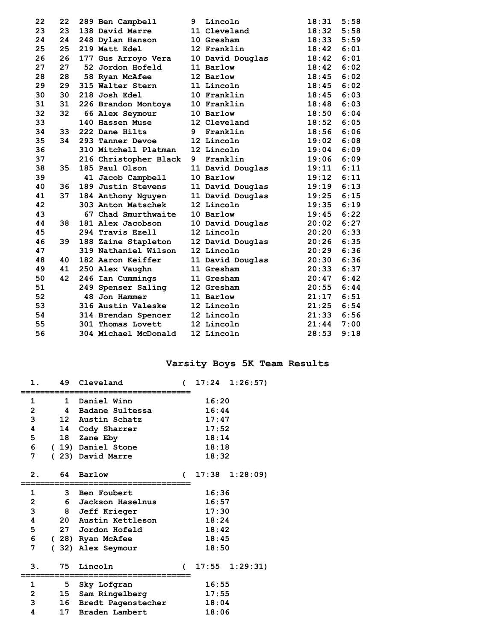| 22 | 22 | 289 Ben Campbell          | 9           | Lincoln          | 18:31 | 5:58 |
|----|----|---------------------------|-------------|------------------|-------|------|
| 23 | 23 | 138 David Marre           |             | 11 Cleveland     | 18:32 | 5:58 |
| 24 | 24 | 248 Dylan Hanson          |             | 10 Gresham       | 18:33 | 5:59 |
| 25 | 25 | 219 Matt Edel             |             | 12 Franklin      | 18:42 | 6:01 |
| 26 | 26 | 177 Gus Arroyo Vera       |             | 10 David Douglas | 18:42 | 6:01 |
| 27 | 27 | 52 Jordon Hofeld          |             | 11 Barlow        | 18:42 | 6:02 |
| 28 | 28 | 58 Ryan McAfee            |             | 12 Barlow        | 18:45 | 6:02 |
| 29 | 29 | 315 Walter Stern          |             | 11 Lincoln       | 18:45 | 6:02 |
| 30 | 30 | 218 Josh Edel             |             | 10 Franklin      | 18:45 | 6:03 |
| 31 | 31 | 226 Brandon Montoya       |             | 10 Franklin      | 18:48 | 6:03 |
| 32 | 32 | 66 Alex Seymour           |             | 10 Barlow        | 18:50 | 6:04 |
| 33 |    | 140 Hassen Muse           |             | 12 Cleveland     | 18:52 | 6:05 |
| 34 | 33 | 222 Dane Hilts            | $9^{\circ}$ | Franklin         | 18:56 | 6:06 |
| 35 | 34 | 293 Tanner Devoe          |             | 12 Lincoln       | 19:02 | 6:08 |
| 36 |    | 310 Mitchell Platman      |             | 12 Lincoln       | 19:04 | 6:09 |
| 37 |    | 216 Christopher Black     | 9           | Franklin         | 19:06 | 6:09 |
| 38 | 35 | 185 Paul Olson            |             | 11 David Douglas | 19:11 | 6:11 |
| 39 |    | 41 Jacob Campbell         |             | 10 Barlow        | 19:12 | 6:11 |
| 40 | 36 | 189 Justin Stevens        |             | 11 David Douglas | 19:19 | 6:13 |
| 41 | 37 | 184 Anthony Nguyen        |             | 11 David Douglas | 19:25 | 6:15 |
| 42 |    | 303 Anton Matschek        |             | 12 Lincoln       | 19:35 | 6:19 |
| 43 |    | 67 Chad Smurthwaite       |             | 10 Barlow        | 19:45 | 6:22 |
| 44 | 38 | 181 Alex Jacobson         |             | 10 David Douglas | 20:02 | 6:27 |
| 45 |    | 294 Travis Ezell          |             | 12 Lincoln       | 20:20 | 6:33 |
| 46 | 39 | 188 Zaine Stapleton       |             | 12 David Douglas | 20:26 | 6:35 |
| 47 |    | 319 Nathaniel Wilson      |             | 12 Lincoln       | 20:29 | 6:36 |
| 48 | 40 | 182 Aaron Keiffer         |             | 11 David Douglas | 20:30 | 6:36 |
| 49 | 41 | 250 Alex Vaughn           |             | 11 Gresham       | 20:33 | 6:37 |
| 50 | 42 | 246 Ian Cummings          |             | 11 Gresham       | 20:47 | 6:42 |
| 51 |    | 249 Spenser Saling        |             | 12 Gresham       | 20:55 | 6:44 |
| 52 |    | 48 Jon Hammer             |             | 11 Barlow        | 21:17 | 6:51 |
| 53 |    | <b>316 Austin Valeske</b> |             | 12 Lincoln       | 21:25 | 6:54 |
| 54 |    | 314 Brendan Spencer       |             | 12 Lincoln       | 21:33 | 6:56 |
| 55 |    | 301 Thomas Lovett         |             | 12 Lincoln       | 21:44 | 7:00 |
| 56 |    | 304 Michael McDonald      |             | 12 Lincoln       | 28:53 | 9:18 |

### **Varsity Boys 5K Team Results**

| 1.             | 49              | Cleveland             | $\epsilon$    | 17:24 | 1:26:57               |
|----------------|-----------------|-----------------------|---------------|-------|-----------------------|
| 1              | $\mathbf{1}$    | Daniel Winn           |               | 16:20 |                       |
| $\overline{2}$ | 4               | Badane Sultessa       |               | 16:44 |                       |
| 3              |                 | 12 Austin Schatz      |               | 17:47 |                       |
| 4              |                 | 14 Cody Sharrer       |               | 17:52 |                       |
| 5              |                 | 18 Zane Eby           |               | 18:14 |                       |
| 6              |                 | (19) Daniel Stone     |               | 18:18 |                       |
| 7              |                 | (23) David Marre      |               | 18:32 |                       |
|                |                 |                       |               |       |                       |
| 2.             | 64              | Barlow                | $\epsilon$    |       | $17:38$ $1:28:09$     |
|                |                 |                       |               |       |                       |
| 1              |                 | 3 Ben Foubert         |               | 16:36 |                       |
| $\overline{2}$ |                 | 6 Jackson Haselnus    |               | 16:57 |                       |
| 3              |                 | 8 Jeff Krieger        |               | 17:30 |                       |
| 4              |                 | 20 Austin Kettleson   |               | 18:24 |                       |
| 5              |                 | 27 Jordon Hofeld      |               | 18:42 |                       |
| 6              |                 | (28) Ryan McAfee      |               | 18:45 |                       |
| 7              |                 | (32) Alex Seymour     |               | 18:50 |                       |
|                |                 |                       |               |       |                       |
| 3.             | 75              | Lincoln               | $\mathcal{L}$ |       | $17:55 \quad 1:29:31$ |
| 1              |                 | 5 Sky Lofgran         |               | 16:55 |                       |
| $\overline{2}$ |                 | 15 Sam Ringelberg     |               | 17:55 |                       |
| 3              |                 |                       |               | 18:04 |                       |
| 4              | 17 <sub>1</sub> | 16 Bredt Pagenstecher |               |       |                       |
|                |                 | Braden Lambert        |               | 18:06 |                       |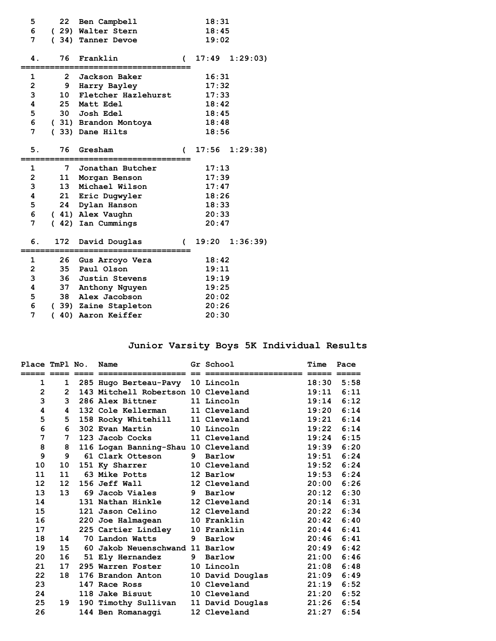| 5              | 22              | Ben Campbell                              |                | 18:31 |                   |
|----------------|-----------------|-------------------------------------------|----------------|-------|-------------------|
| 6              |                 | (29) Walter Stern                         |                | 18:45 |                   |
| 7              |                 | (34) Tanner Devoe                         |                | 19:02 |                   |
|                |                 |                                           |                |       |                   |
| 4.             | 76              | Franklin                                  | $\overline{ }$ |       | $17:49$ $1:29:03$ |
| 1              | $\overline{2}$  | Jackson Baker                             |                | 16:31 |                   |
| $\mathbf 2$    |                 | 9 Harry Bayley                            |                | 17:32 |                   |
| 3              | 10 <sup>1</sup> | Fletcher Hazlehurst                       |                | 17:33 |                   |
| 4              | 25              | Matt Edel                                 |                | 18:42 |                   |
| 5              |                 | 30 Josh Edel                              |                | 18:45 |                   |
| 6              |                 | (31) Brandon Montoya                      |                | 18:48 |                   |
| 7              |                 | (33) Dane Hilts                           |                | 18:56 |                   |
|                |                 |                                           |                |       |                   |
| 5.             | 76              | Gresham                                   | $\overline{ }$ | 17:56 | 1:29:38           |
|                | 7               | Jonathan Butcher                          |                | 17:13 |                   |
|                |                 |                                           |                |       |                   |
| 1              |                 |                                           |                |       |                   |
| $\overline{2}$ |                 | 11 Morgan Benson                          |                | 17:39 |                   |
| 3              | 13 <sup>7</sup> | Michael Wilson                            |                | 17:47 |                   |
| 4              |                 | 21 Eric Dugwyler                          |                | 18:26 |                   |
| 5              | 24              | Dylan Hanson                              |                | 18:33 |                   |
| 6              |                 | (41) Alex Vaughn                          |                | 20:33 |                   |
| 7              |                 | (42) Ian Cummings                         |                | 20:47 |                   |
| 6.             | 172             | David Douglas                             | (              |       | $19:20$ $1:36:39$ |
| 1              | 26              |                                           |                | 18:42 |                   |
| $\overline{2}$ | 35              | Gus Arroyo Vera<br>Paul Olson             |                | 19:11 |                   |
|                |                 | 36 Justin Stevens                         |                | 19:19 |                   |
| 3<br>4         | 37              |                                           |                | 19:25 |                   |
| 5              | 38              | Anthony Nguyen<br>Alex Jacobson           |                | 20:02 |                   |
| 6              |                 |                                           |                | 20:26 |                   |
| 7              | $\overline{ }$  | (39) Zaine Stapleton<br>40) Aaron Keiffer |                | 20:30 |                   |

# **Junior Varsity Boys 5K Individual Results**

| Place TmPl No.    |                | Name                                |   | Gr School        | Time  | Pace |
|-------------------|----------------|-------------------------------------|---|------------------|-------|------|
| $\mathbf{1}$      | 1              | 285 Hugo Berteau-Pavy 10 Lincoln    |   |                  | 18:30 | 5:58 |
| $\mathbf{2}$      | $\overline{2}$ | 143 Mitchell Robertson 10 Cleveland |   |                  | 19:11 | 6:11 |
| 3                 | 3              | 286 Alex Bittner                    |   | 11 Lincoln       | 19:14 | 6:12 |
| 4                 | 4              | 132 Cole Kellerman                  |   | 11 Cleveland     | 19:20 | 6:14 |
| 5                 | 5.             | 158 Rocky Whitehill                 |   | 11 Cleveland     | 19:21 | 6:14 |
| 6                 | 6              | 302 Evan Martin                     |   | 10 Lincoln       | 19:22 | 6:14 |
| 7                 | 7              | 123 Jacob Cocks                     |   | 11 Cleveland     | 19:24 | 6:15 |
| 8                 | 8              | 116 Logan Banning-Shau 10 Cleveland |   |                  | 19:39 | 6:20 |
| 9                 | 9              | 61 Clark Otteson                    | 9 | Barlow           | 19:51 | 6:24 |
| 10                | 10             | 151 Ky Sharrer                      |   | 10 Cleveland     | 19:52 | 6:24 |
| 11                | 11             | 63 Mike Potts                       |   | 12 Barlow        | 19:53 | 6:24 |
| $12 \overline{ }$ | 12             | 156 Jeff Wall                       |   | 12 Cleveland     | 20:00 | 6:26 |
| 13                | 13             | 69 Jacob Viales                     | 9 | Barlow           | 20:12 | 6:30 |
| 14                |                | 131 Nathan Hinkle                   |   | 12 Cleveland     | 20:14 | 6:31 |
| 15                |                | 121 Jason Celino                    |   | 12 Cleveland     | 20:22 | 6:34 |
| 16                |                | 220 Joe Halmagean                   |   | 10 Franklin      | 20:42 | 6:40 |
| 17                |                | 225 Cartier Lindley                 |   | 10 Franklin      | 20:44 | 6:41 |
| 18                | 14             | 70 Landon Watts                     | 9 | Barlow           | 20:46 | 6:41 |
| 19                | 15             | 60 Jakob Neuenschwand 11 Barlow     |   |                  | 20:49 | 6:42 |
| 20                | 16             | 51 Ely Hernandez                    | 9 | Barlow           | 21:00 | 6:46 |
| 21                | 17             | 295 Warren Foster                   |   | 10 Lincoln       | 21:08 | 6:48 |
| 22                | 18             | 176 Brandon Anton                   |   | 10 David Douglas | 21:09 | 6:49 |
| 23                |                | 147 Race Ross                       |   | 10 Cleveland     | 21:19 | 6:52 |
| 24                |                | 118 Jake Bisuut                     |   | 10 Cleveland     | 21:20 | 6:52 |
| 25                | 19             | 190 Timothy Sullivan                |   | 11 David Douglas | 21:26 | 6:54 |
| 26                |                | 144 Ben Romanaggi                   |   | 12 Cleveland     | 21:27 | 6:54 |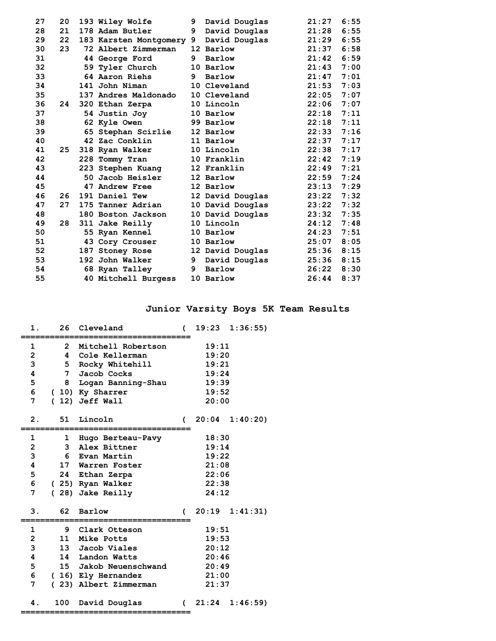| 178 Adam Butler<br>28<br>21<br>9<br>David Douglas<br>21:28<br>22<br>29<br>21:29<br>183 Karsten Montgomery 9<br>David Douglas<br>23<br>21:37<br>30<br>72 Albert Zimmerman<br>12 Barlow<br>21:42<br>31<br>9<br>Barlow<br>44 George Ford<br>32<br>21:43<br>59 Tyler Church<br>10 Barlow<br>33<br>$9^{\circ}$<br>21:47<br>64 Aaron Riehs<br>Barlow<br>34<br>141 John Niman<br>10 Cleveland<br>21:53<br>35<br>137 Andres Maldonado<br>22:05<br>10 Cleveland<br>36<br>22:06<br>10 Lincoln<br>24<br>320 Ethan Zerpa<br>37<br>22:18<br>54 Justin Joy<br>10 Barlow<br>38<br>99 Barlow<br>22:18<br>62 Kyle Owen<br>22:33<br>39<br>65 Stephan Scirlie<br>12 Barlow<br>42 Zac Conklin<br>22:37<br>40<br>11 Barlow<br>41<br>22:38<br>25<br>10 Lincoln<br>318 Ryan Walker<br>42<br>22:42<br>10 Franklin<br>228 Tommy Tran<br>43<br>223 Stephen Kuang<br>22:49<br>12 Franklin<br>44<br>50 Jacob Heisler<br>22:59<br>12 Barlow<br>45<br>12 Barlow<br>23:13<br>47 Andrew Free<br>46<br>23:22<br>26<br>191 Daniel Tew<br>12 David Douglas<br>47<br>27<br>23:22<br>175 Tanner Adrian<br>10 David Douglas<br>48<br>10 David Douglas<br>23:32<br>180 Boston Jackson<br>28<br>24:12<br>49<br>311 Jake Reilly<br>10 Lincoln<br>50<br>24:23<br>55 Ryan Kennel<br>10 Barlow<br>51<br>25:07<br>10 Barlow<br>43 Cory Crouser<br>52<br>187 Stoney Rose<br>12 David Douglas<br>25:36 | 27 | 20 | 193 Wiley Wolfe | 9           | David Douglas | 21:27 | 6:55 |
|---------------------------------------------------------------------------------------------------------------------------------------------------------------------------------------------------------------------------------------------------------------------------------------------------------------------------------------------------------------------------------------------------------------------------------------------------------------------------------------------------------------------------------------------------------------------------------------------------------------------------------------------------------------------------------------------------------------------------------------------------------------------------------------------------------------------------------------------------------------------------------------------------------------------------------------------------------------------------------------------------------------------------------------------------------------------------------------------------------------------------------------------------------------------------------------------------------------------------------------------------------------------------------------------------------------------------------------------------------|----|----|-----------------|-------------|---------------|-------|------|
|                                                                                                                                                                                                                                                                                                                                                                                                                                                                                                                                                                                                                                                                                                                                                                                                                                                                                                                                                                                                                                                                                                                                                                                                                                                                                                                                                         |    |    |                 |             |               |       | 6:55 |
|                                                                                                                                                                                                                                                                                                                                                                                                                                                                                                                                                                                                                                                                                                                                                                                                                                                                                                                                                                                                                                                                                                                                                                                                                                                                                                                                                         |    |    |                 |             |               |       | 6:55 |
|                                                                                                                                                                                                                                                                                                                                                                                                                                                                                                                                                                                                                                                                                                                                                                                                                                                                                                                                                                                                                                                                                                                                                                                                                                                                                                                                                         |    |    |                 |             |               |       | 6:58 |
|                                                                                                                                                                                                                                                                                                                                                                                                                                                                                                                                                                                                                                                                                                                                                                                                                                                                                                                                                                                                                                                                                                                                                                                                                                                                                                                                                         |    |    |                 |             |               |       | 6:59 |
|                                                                                                                                                                                                                                                                                                                                                                                                                                                                                                                                                                                                                                                                                                                                                                                                                                                                                                                                                                                                                                                                                                                                                                                                                                                                                                                                                         |    |    |                 |             |               |       | 7:00 |
|                                                                                                                                                                                                                                                                                                                                                                                                                                                                                                                                                                                                                                                                                                                                                                                                                                                                                                                                                                                                                                                                                                                                                                                                                                                                                                                                                         |    |    |                 |             |               |       | 7:01 |
|                                                                                                                                                                                                                                                                                                                                                                                                                                                                                                                                                                                                                                                                                                                                                                                                                                                                                                                                                                                                                                                                                                                                                                                                                                                                                                                                                         |    |    |                 |             |               |       | 7:03 |
|                                                                                                                                                                                                                                                                                                                                                                                                                                                                                                                                                                                                                                                                                                                                                                                                                                                                                                                                                                                                                                                                                                                                                                                                                                                                                                                                                         |    |    |                 |             |               |       | 7:07 |
|                                                                                                                                                                                                                                                                                                                                                                                                                                                                                                                                                                                                                                                                                                                                                                                                                                                                                                                                                                                                                                                                                                                                                                                                                                                                                                                                                         |    |    |                 |             |               |       | 7:07 |
|                                                                                                                                                                                                                                                                                                                                                                                                                                                                                                                                                                                                                                                                                                                                                                                                                                                                                                                                                                                                                                                                                                                                                                                                                                                                                                                                                         |    |    |                 |             |               |       | 7:11 |
|                                                                                                                                                                                                                                                                                                                                                                                                                                                                                                                                                                                                                                                                                                                                                                                                                                                                                                                                                                                                                                                                                                                                                                                                                                                                                                                                                         |    |    |                 |             |               |       | 7:11 |
|                                                                                                                                                                                                                                                                                                                                                                                                                                                                                                                                                                                                                                                                                                                                                                                                                                                                                                                                                                                                                                                                                                                                                                                                                                                                                                                                                         |    |    |                 |             |               |       | 7:16 |
|                                                                                                                                                                                                                                                                                                                                                                                                                                                                                                                                                                                                                                                                                                                                                                                                                                                                                                                                                                                                                                                                                                                                                                                                                                                                                                                                                         |    |    |                 |             |               |       | 7:17 |
|                                                                                                                                                                                                                                                                                                                                                                                                                                                                                                                                                                                                                                                                                                                                                                                                                                                                                                                                                                                                                                                                                                                                                                                                                                                                                                                                                         |    |    |                 |             |               |       | 7:17 |
|                                                                                                                                                                                                                                                                                                                                                                                                                                                                                                                                                                                                                                                                                                                                                                                                                                                                                                                                                                                                                                                                                                                                                                                                                                                                                                                                                         |    |    |                 |             |               |       | 7:19 |
|                                                                                                                                                                                                                                                                                                                                                                                                                                                                                                                                                                                                                                                                                                                                                                                                                                                                                                                                                                                                                                                                                                                                                                                                                                                                                                                                                         |    |    |                 |             |               |       | 7:21 |
|                                                                                                                                                                                                                                                                                                                                                                                                                                                                                                                                                                                                                                                                                                                                                                                                                                                                                                                                                                                                                                                                                                                                                                                                                                                                                                                                                         |    |    |                 |             |               |       | 7:24 |
|                                                                                                                                                                                                                                                                                                                                                                                                                                                                                                                                                                                                                                                                                                                                                                                                                                                                                                                                                                                                                                                                                                                                                                                                                                                                                                                                                         |    |    |                 |             |               |       | 7:29 |
|                                                                                                                                                                                                                                                                                                                                                                                                                                                                                                                                                                                                                                                                                                                                                                                                                                                                                                                                                                                                                                                                                                                                                                                                                                                                                                                                                         |    |    |                 |             |               |       | 7:32 |
|                                                                                                                                                                                                                                                                                                                                                                                                                                                                                                                                                                                                                                                                                                                                                                                                                                                                                                                                                                                                                                                                                                                                                                                                                                                                                                                                                         |    |    |                 |             |               |       | 7:32 |
|                                                                                                                                                                                                                                                                                                                                                                                                                                                                                                                                                                                                                                                                                                                                                                                                                                                                                                                                                                                                                                                                                                                                                                                                                                                                                                                                                         |    |    |                 |             |               |       | 7:35 |
|                                                                                                                                                                                                                                                                                                                                                                                                                                                                                                                                                                                                                                                                                                                                                                                                                                                                                                                                                                                                                                                                                                                                                                                                                                                                                                                                                         |    |    |                 |             |               |       | 7:48 |
|                                                                                                                                                                                                                                                                                                                                                                                                                                                                                                                                                                                                                                                                                                                                                                                                                                                                                                                                                                                                                                                                                                                                                                                                                                                                                                                                                         |    |    |                 |             |               |       | 7:51 |
|                                                                                                                                                                                                                                                                                                                                                                                                                                                                                                                                                                                                                                                                                                                                                                                                                                                                                                                                                                                                                                                                                                                                                                                                                                                                                                                                                         |    |    |                 |             |               |       | 8:05 |
|                                                                                                                                                                                                                                                                                                                                                                                                                                                                                                                                                                                                                                                                                                                                                                                                                                                                                                                                                                                                                                                                                                                                                                                                                                                                                                                                                         |    |    |                 |             |               |       | 8:15 |
|                                                                                                                                                                                                                                                                                                                                                                                                                                                                                                                                                                                                                                                                                                                                                                                                                                                                                                                                                                                                                                                                                                                                                                                                                                                                                                                                                         | 53 |    | 192 John Walker | $9^{\circ}$ | David Douglas | 25:36 | 8:15 |
| 26:22<br>54<br>9<br>Barlow<br>68 Ryan Talley                                                                                                                                                                                                                                                                                                                                                                                                                                                                                                                                                                                                                                                                                                                                                                                                                                                                                                                                                                                                                                                                                                                                                                                                                                                                                                            |    |    |                 |             |               |       | 8:30 |
| 55<br>40 Mitchell Burgess<br>26:44<br>10 Barlow                                                                                                                                                                                                                                                                                                                                                                                                                                                                                                                                                                                                                                                                                                                                                                                                                                                                                                                                                                                                                                                                                                                                                                                                                                                                                                         |    |    |                 |             |               |       | 8:37 |

# **Junior Varsity Boys 5K Team Results**

| 1.                      | 26                          | Cleveland             | $\overline{ }$ | 19:23 | 1:36:55            |  |
|-------------------------|-----------------------------|-----------------------|----------------|-------|--------------------|--|
| 1                       | $\overline{2}$              | Mitchell Robertson    |                | 19:11 |                    |  |
| $\overline{\mathbf{c}}$ | 4                           | Cole Kellerman        | 19:20          |       |                    |  |
| 3                       | 5<br>Rocky Whitehill        |                       |                | 19:21 |                    |  |
| 4                       | 7                           | Jacob Cocks           |                | 19:24 |                    |  |
| 5                       | 8                           | Logan Banning-Shau    |                | 19:39 |                    |  |
| 6                       |                             | (10) Ky Sharrer       |                | 19:52 |                    |  |
| 7                       | $\mathcal{L}$               | 12) Jeff Wall         | 20:00          |       |                    |  |
| 2.                      | 51                          | Lincoln               | $\epsilon$     |       | $20:04$ 1:40:20)   |  |
| 1                       | 1                           | Hugo Berteau-Pavy     |                | 18:30 |                    |  |
| $\overline{2}$          |                             | 3 Alex Bittner        |                | 19:14 |                    |  |
| 3                       | 6                           | 19:22<br>Evan Martin  |                |       |                    |  |
| 4                       |                             | 17 Warren Foster      | 21:08          |       |                    |  |
| 5                       |                             | 24 Ethan Zerpa        | 22:06          |       |                    |  |
| 6                       |                             | (25) Ryan Walker      | 22:38          |       |                    |  |
| 7                       |                             | (28) Jake Reilly      | 24:12          |       |                    |  |
| 3.                      | 62                          | Barlow                | $\epsilon$     |       | $20:19$ $1:41:31)$ |  |
| 1                       | 9                           | Clark Otteson         |                | 19:51 |                    |  |
| $\mathbf 2$             |                             | 11 Mike Potts         |                | 19:53 |                    |  |
| 3                       |                             | 13 Jacob Viales       |                | 20:12 |                    |  |
| 4                       | 14 Landon Watts             |                       | 20:46          |       |                    |  |
| 5                       | 15 Jakob Neuenschwand       |                       | 20:49          |       |                    |  |
| 6                       | (16) Ely Hernandez<br>21:00 |                       |                |       |                    |  |
| 7                       |                             | (23) Albert Zimmerman | 21:37          |       |                    |  |
| 4.                      | 100                         | David Douglas         | C              |       | $21:24$ $1:46:59$  |  |